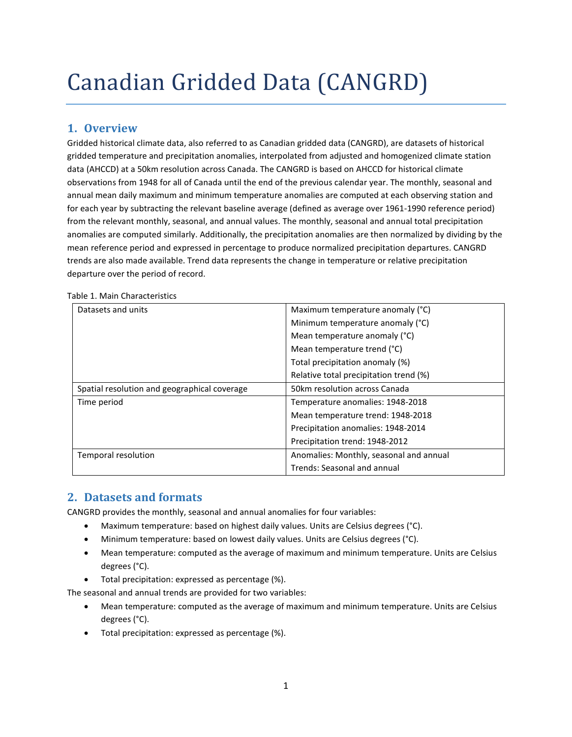# Canadian Gridded Data (CANGRD)

# **1. Overview**

Gridded historical climate data, also referred to as Canadian gridded data (CANGRD), are datasets of historical gridded temperature and precipitation anomalies, interpolated from adjusted and homogenized climate station data (AHCCD) at a 50km resolution across Canada. The CANGRD is based on AHCCD for historical climate observations from 1948 for all of Canada until the end of the previous calendar year. The monthly, seasonal and annual mean daily maximum and minimum temperature anomalies are computed at each observing station and for each year by subtracting the relevant baseline average (defined as average over 1961-1990 reference period) from the relevant monthly, seasonal, and annual values. The monthly, seasonal and annual total precipitation anomalies are computed similarly. Additionally, the precipitation anomalies are then normalized by dividing by the mean reference period and expressed in percentage to produce normalized precipitation departures. CANGRD trends are also made available. Trend data represents the change in temperature or relative precipitation departure over the period of record.

| Datasets and units                           | Maximum temperature anomaly (°C)        |
|----------------------------------------------|-----------------------------------------|
|                                              | Minimum temperature anomaly (°C)        |
|                                              | Mean temperature anomaly (°C)           |
|                                              | Mean temperature trend (°C)             |
|                                              | Total precipitation anomaly (%)         |
|                                              | Relative total precipitation trend (%)  |
| Spatial resolution and geographical coverage | 50km resolution across Canada           |
| Time period                                  | Temperature anomalies: 1948-2018        |
|                                              | Mean temperature trend: 1948-2018       |
|                                              | Precipitation anomalies: 1948-2014      |
|                                              | Precipitation trend: 1948-2012          |
| Temporal resolution                          | Anomalies: Monthly, seasonal and annual |
|                                              | Trends: Seasonal and annual             |

Table 1. Main Characteristics

## **2. Datasets and formats**

CANGRD provides the monthly, seasonal and annual anomalies for four variables:

- Maximum temperature: based on highest daily values. Units are Celsius degrees (°C).
- Minimum temperature: based on lowest daily values. Units are Celsius degrees (°C).
- Mean temperature: computed as the average of maximum and minimum temperature. Units are Celsius degrees (°C).
- Total precipitation: expressed as percentage (%).

The seasonal and annual trends are provided for two variables:

- Mean temperature: computed as the average of maximum and minimum temperature. Units are Celsius degrees (°C).
- Total precipitation: expressed as percentage (%).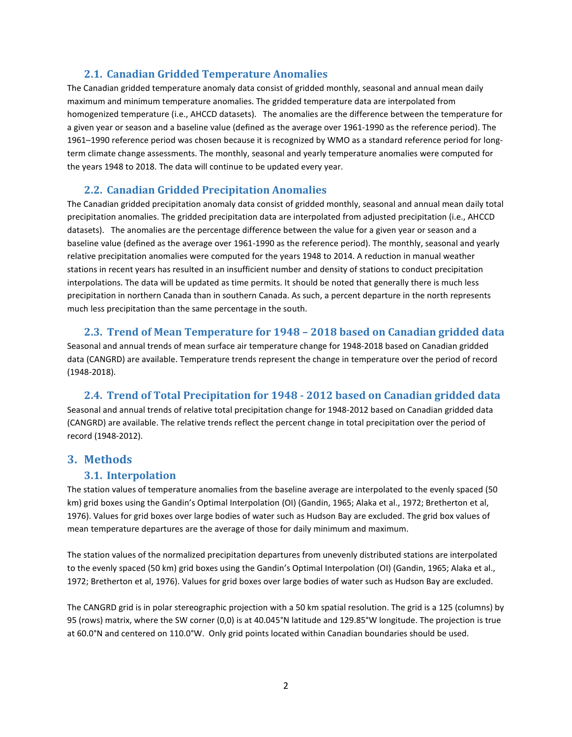## **2.1. Canadian Gridded Temperature Anomalies**

The Canadian gridded temperature anomaly data consist of gridded monthly, seasonal and annual mean daily maximum and minimum temperature anomalies. The gridded temperature data are interpolated from homogenized temperature (i.e., AHCCD datasets). The anomalies are the difference between the temperature for a given year or season and a baseline value (defined as the average over 1961-1990 as the reference period). The 1961–1990 reference period was chosen because it is recognized by WMO as a standard reference period for longterm climate change assessments. The monthly, seasonal and yearly temperature anomalies were computed for the years 1948 to 2018. The data will continue to be updated every year.

## **2.2. Canadian Gridded Precipitation Anomalies**

The Canadian gridded precipitation anomaly data consist of gridded monthly, seasonal and annual mean daily total precipitation anomalies. The gridded precipitation data are interpolated from adjusted precipitation (i.e., AHCCD datasets). The anomalies are the percentage difference between the value for a given year or season and a baseline value (defined as the average over 1961-1990 as the reference period). The monthly, seasonal and yearly relative precipitation anomalies were computed for the years 1948 to 2014. A reduction in manual weather stations in recent years has resulted in an insufficient number and density of stations to conduct precipitation interpolations. The data will be updated as time permits. It should be noted that generally there is much less precipitation in northern Canada than in southern Canada. As such, a percent departure in the north represents much less precipitation than the same percentage in the south.

## **2.3. Trend of Mean Temperature for 1948 – 2018 based on Canadian gridded data**

Seasonal and annual trends of mean surface air temperature change for 1948-2018 based on Canadian gridded data (CANGRD) are available. Temperature trends represent the change in temperature over the period of record (1948-2018).

## **2.4. Trend of Total Precipitation for 1948 - 2012 based on Canadian gridded data**

Seasonal and annual trends of relative total precipitation change for 1948-2012 based on Canadian gridded data (CANGRD) are available. The relative trends reflect the percent change in total precipitation over the period of record (1948-2012).

## **3. Methods**

#### **3.1. Interpolation**

The station values of temperature anomalies from the baseline average are interpolated to the evenly spaced (50 km) grid boxes using the Gandin's Optimal Interpolation (OI) (Gandin, 1965; Alaka et al., 1972; Bretherton et al, 1976). Values for grid boxes over large bodies of water such as Hudson Bay are excluded. The grid box values of mean temperature departures are the average of those for daily minimum and maximum.

The station values of the normalized precipitation departures from unevenly distributed stations are interpolated to the evenly spaced (50 km) grid boxes using the Gandin's Optimal Interpolation (OI) (Gandin, 1965; Alaka et al., 1972; Bretherton et al, 1976). Values for grid boxes over large bodies of water such as Hudson Bay are excluded.

The CANGRD grid is in polar stereographic projection with a 50 km spatial resolution. The grid is a 125 (columns) by 95 (rows) matrix, where the SW corner (0,0) is at 40.045°N latitude and 129.85°W longitude. The projection is true at 60.0°N and centered on 110.0°W. Only grid points located within Canadian boundaries should be used.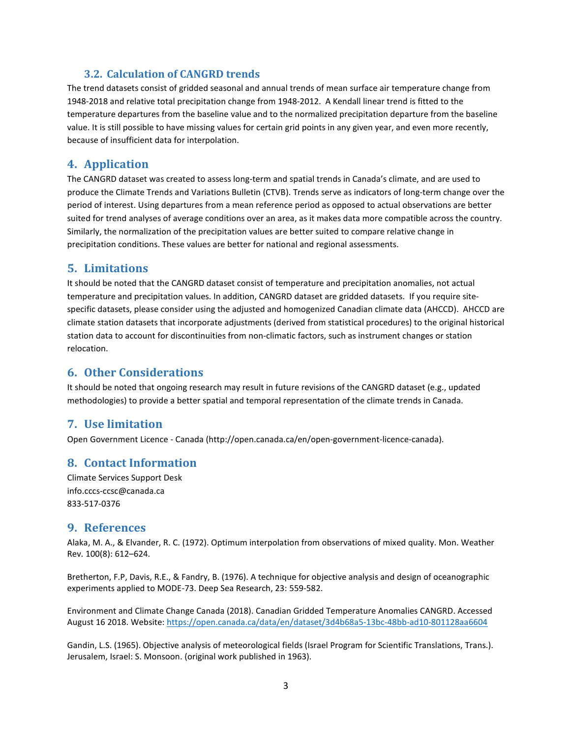## **3.2. Calculation of CANGRD trends**

The trend datasets consist of gridded seasonal and annual trends of mean surface air temperature change from 1948-2018 and relative total precipitation change from 1948-2012. A Kendall linear trend is fitted to the temperature departures from the baseline value and to the normalized precipitation departure from the baseline value. It is still possible to have missing values for certain grid points in any given year, and even more recently, because of insufficient data for interpolation.

## **4. Application**

The CANGRD dataset was created to assess long-term and spatial trends in Canada's climate, and are used to produce the Climate Trends and Variations Bulletin (CTVB). Trends serve as indicators of long-term change over the period of interest. Using departures from a mean reference period as opposed to actual observations are better suited for trend analyses of average conditions over an area, as it makes data more compatible across the country. Similarly, the normalization of the precipitation values are better suited to compare relative change in precipitation conditions. These values are better for national and regional assessments.

## **5. Limitations**

It should be noted that the CANGRD dataset consist of temperature and precipitation anomalies, not actual temperature and precipitation values. In addition, CANGRD dataset are gridded datasets. If you require sitespecific datasets, please consider using the adjusted and homogenized Canadian climate data (AHCCD). AHCCD are climate station datasets that incorporate adjustments (derived from statistical procedures) to the original historical station data to account for discontinuities from non-climatic factors, such as instrument changes or station relocation.

## **6. Other Considerations**

It should be noted that ongoing research may result in future revisions of the CANGRD dataset (e.g., updated methodologies) to provide a better spatial and temporal representation of the climate trends in Canada.

## **7. Use limitation**

Open Government Licence - Canada [\(http://open.canada.ca/en/open-government-licence-canada\)](http://open.canada.ca/en/open-government-licence-canada).

## **8. Contact Information**

Climate Services Support Desk info.cccs-ccsc@canada.ca 833-517-0376

#### **9. References**

Alaka, M. A., & Elvander, R. C. (1972). Optimum interpolation from observations of mixed quality. Mon. Weather Rev. 100(8): 612–624.

Bretherton, F.P, Davis, R.E., & Fandry, B. (1976). A technique for objective analysis and design of oceanographic experiments applied to MODE-73. Deep Sea Research, 23: 559-582.

Environment and Climate Change Canada (2018). Canadian Gridded Temperature Anomalies CANGRD. Accessed August 16 2018. Website: https://open.canada.ca/data/en/dataset/3d4b68a5-13bc-48bb-ad10-801128aa6604

Gandin, L.S. (1965). Objective analysis of meteorological fields (Israel Program for Scientific Translations, Trans.). Jerusalem, Israel: S. Monsoon. (original work published in 1963).